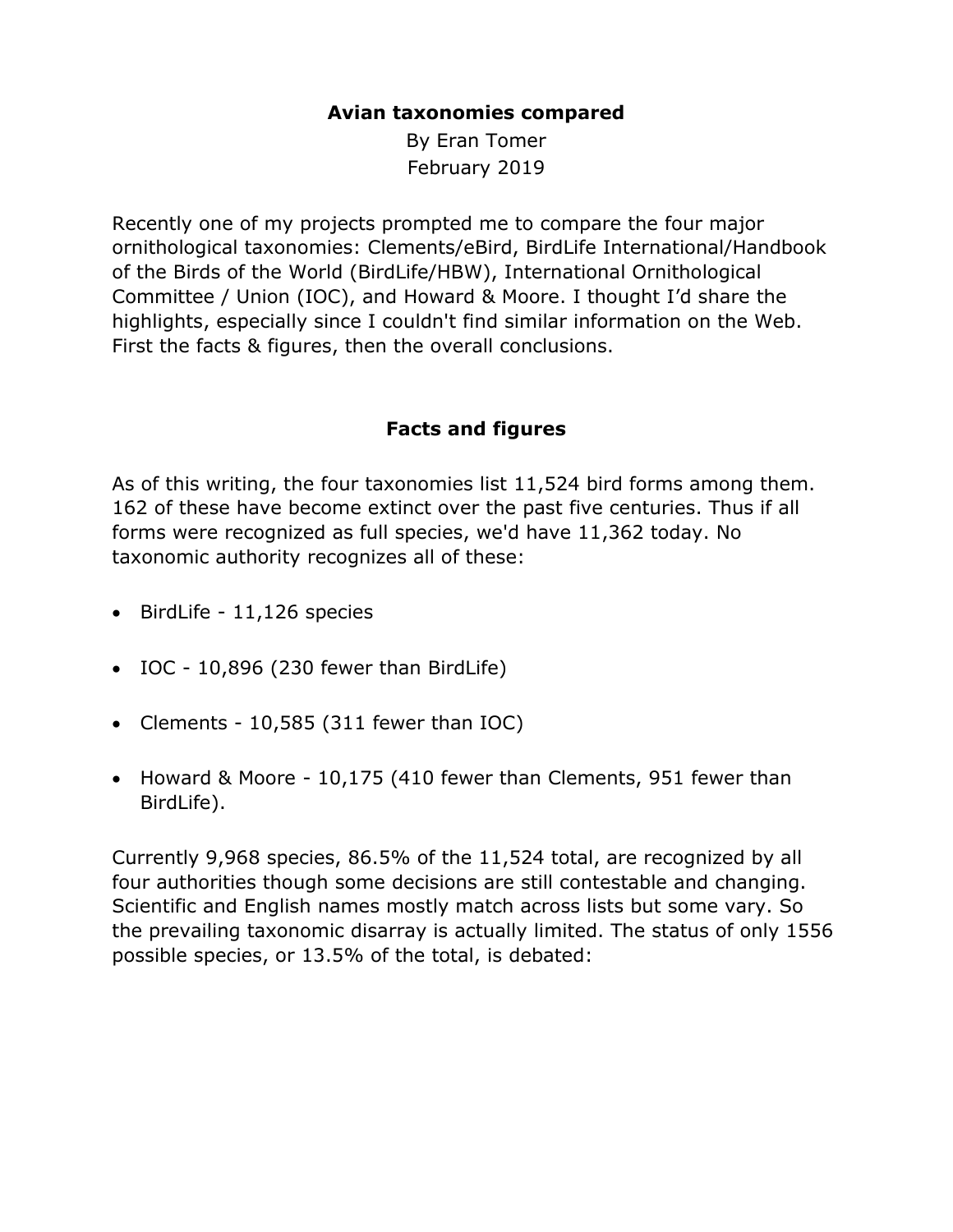## **Avian taxonomies compared**

By Eran Tomer February 2019

Recently one of my projects prompted me to compare the four major ornithological taxonomies: Clements/eBird, BirdLife International/Handbook of the Birds of the World (BirdLife/HBW), International Ornithological Committee / Union (IOC), and Howard & Moore. I thought I'd share the highlights, especially since I couldn't find similar information on the Web. First the facts & figures, then the overall conclusions.

## **Facts and figures**

As of this writing, the four taxonomies list 11,524 bird forms among them. 162 of these have become extinct over the past five centuries. Thus if all forms were recognized as full species, we'd have 11,362 today. No taxonomic authority recognizes all of these:

- BirdLife 11,126 species
- IOC 10,896 (230 fewer than BirdLife)
- Clements 10,585 (311 fewer than IOC)
- Howard & Moore 10,175 (410 fewer than Clements, 951 fewer than BirdLife).

Currently 9,968 species, 86.5% of the 11,524 total, are recognized by all four authorities though some decisions are still contestable and changing. Scientific and English names mostly match across lists but some vary. So the prevailing taxonomic disarray is actually limited. The status of only 1556 possible species, or 13.5% of the total, is debated: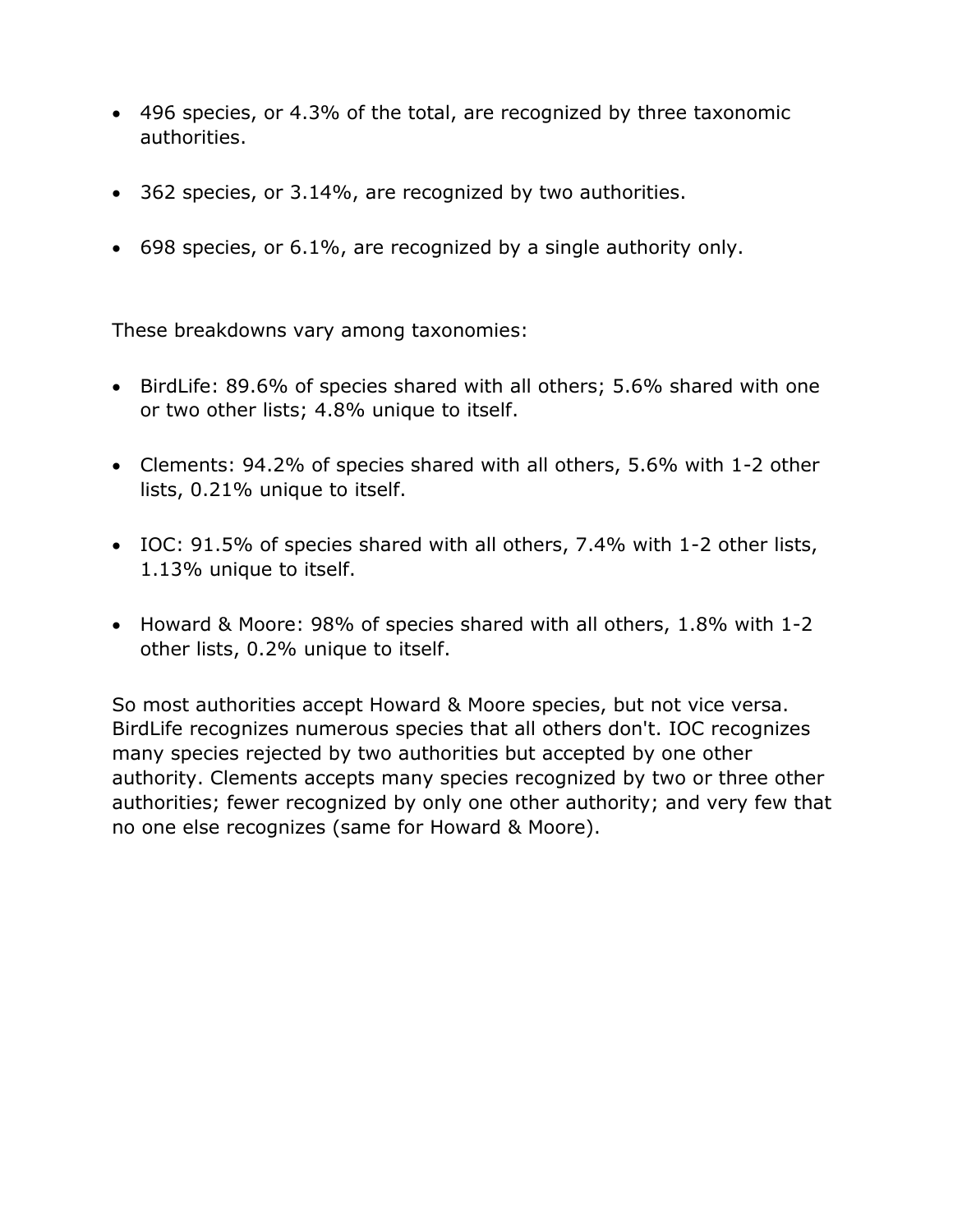- 496 species, or 4.3% of the total, are recognized by three taxonomic authorities.
- 362 species, or 3.14%, are recognized by two authorities.
- 698 species, or 6.1%, are recognized by a single authority only.

These breakdowns vary among taxonomies:

- BirdLife: 89.6% of species shared with all others; 5.6% shared with one or two other lists; 4.8% unique to itself.
- Clements: 94.2% of species shared with all others, 5.6% with 1-2 other lists, 0.21% unique to itself.
- IOC: 91.5% of species shared with all others, 7.4% with 1-2 other lists, 1.13% unique to itself.
- Howard & Moore: 98% of species shared with all others, 1.8% with 1-2 other lists, 0.2% unique to itself.

So most authorities accept Howard & Moore species, but not vice versa. BirdLife recognizes numerous species that all others don't. IOC recognizes many species rejected by two authorities but accepted by one other authority. Clements accepts many species recognized by two or three other authorities; fewer recognized by only one other authority; and very few that no one else recognizes (same for Howard & Moore).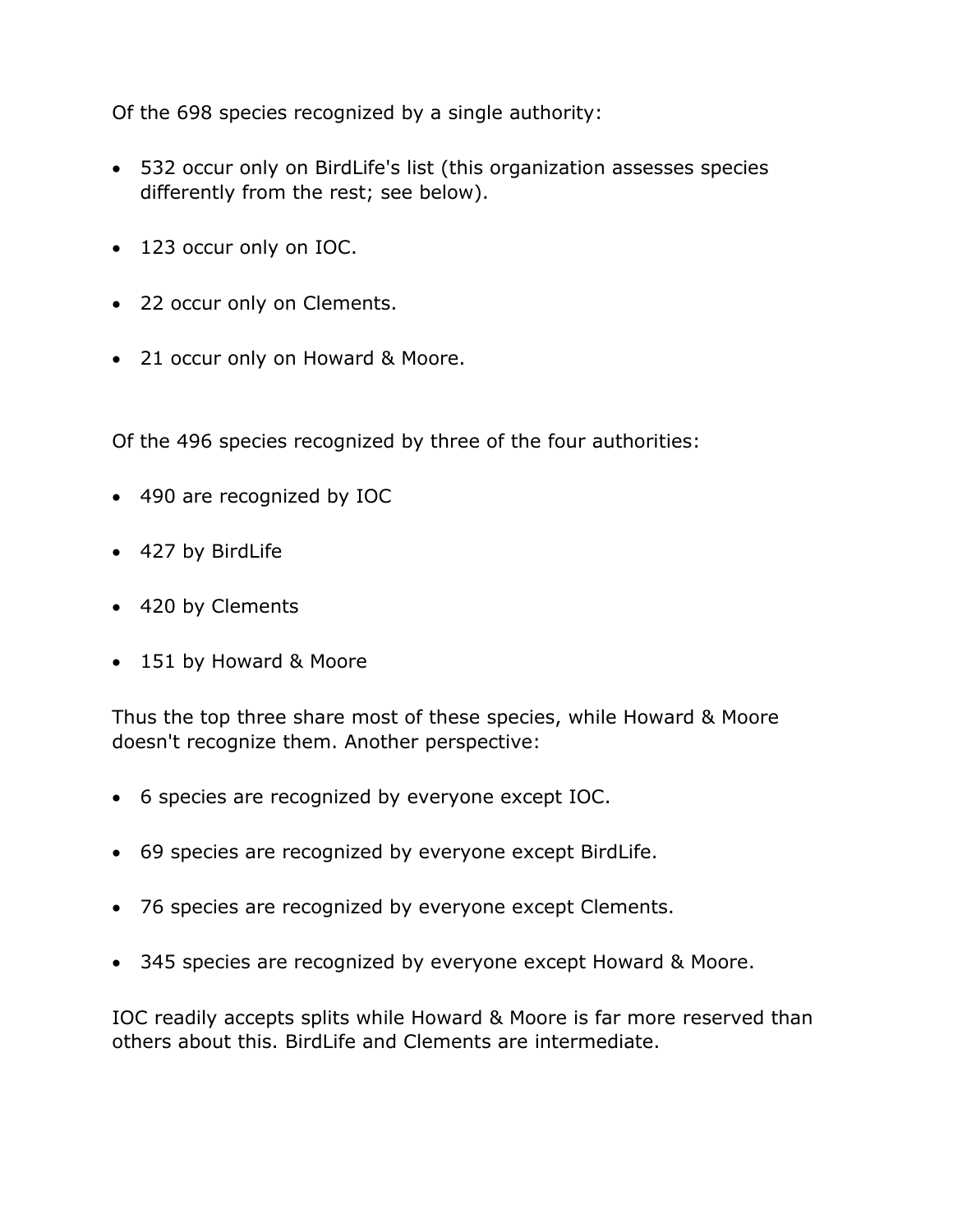Of the 698 species recognized by a single authority:

- 532 occur only on BirdLife's list (this organization assesses species differently from the rest; see below).
- 123 occur only on IOC.
- 22 occur only on Clements.
- 21 occur only on Howard & Moore.

Of the 496 species recognized by three of the four authorities:

- 490 are recognized by IOC
- 427 by BirdLife
- 420 by Clements
- 151 by Howard & Moore

Thus the top three share most of these species, while Howard & Moore doesn't recognize them. Another perspective:

- 6 species are recognized by everyone except IOC.
- 69 species are recognized by everyone except BirdLife.
- 76 species are recognized by everyone except Clements.
- 345 species are recognized by everyone except Howard & Moore.

IOC readily accepts splits while Howard & Moore is far more reserved than others about this. BirdLife and Clements are intermediate.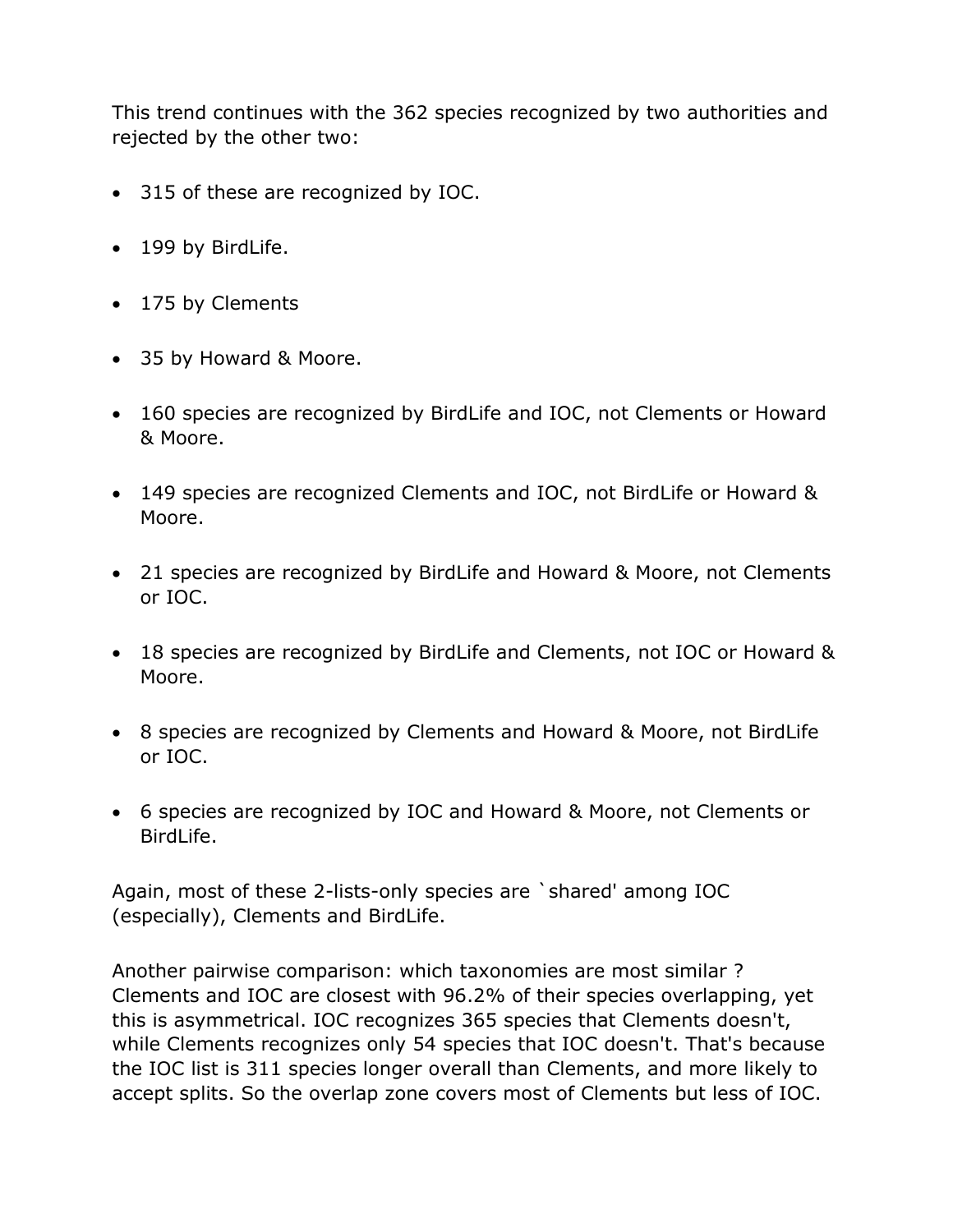This trend continues with the 362 species recognized by two authorities and rejected by the other two:

- 315 of these are recognized by IOC.
- 199 by BirdLife.
- 175 by Clements
- 35 by Howard & Moore.
- 160 species are recognized by BirdLife and IOC, not Clements or Howard & Moore.
- 149 species are recognized Clements and IOC, not BirdLife or Howard & Moore.
- 21 species are recognized by BirdLife and Howard & Moore, not Clements or IOC.
- 18 species are recognized by BirdLife and Clements, not IOC or Howard & Moore.
- 8 species are recognized by Clements and Howard & Moore, not BirdLife or IOC.
- 6 species are recognized by IOC and Howard & Moore, not Clements or BirdLife.

Again, most of these 2-lists-only species are `shared' among IOC (especially), Clements and BirdLife.

Another pairwise comparison: which taxonomies are most similar ? Clements and IOC are closest with 96.2% of their species overlapping, yet this is asymmetrical. IOC recognizes 365 species that Clements doesn't, while Clements recognizes only 54 species that IOC doesn't. That's because the IOC list is 311 species longer overall than Clements, and more likely to accept splits. So the overlap zone covers most of Clements but less of IOC.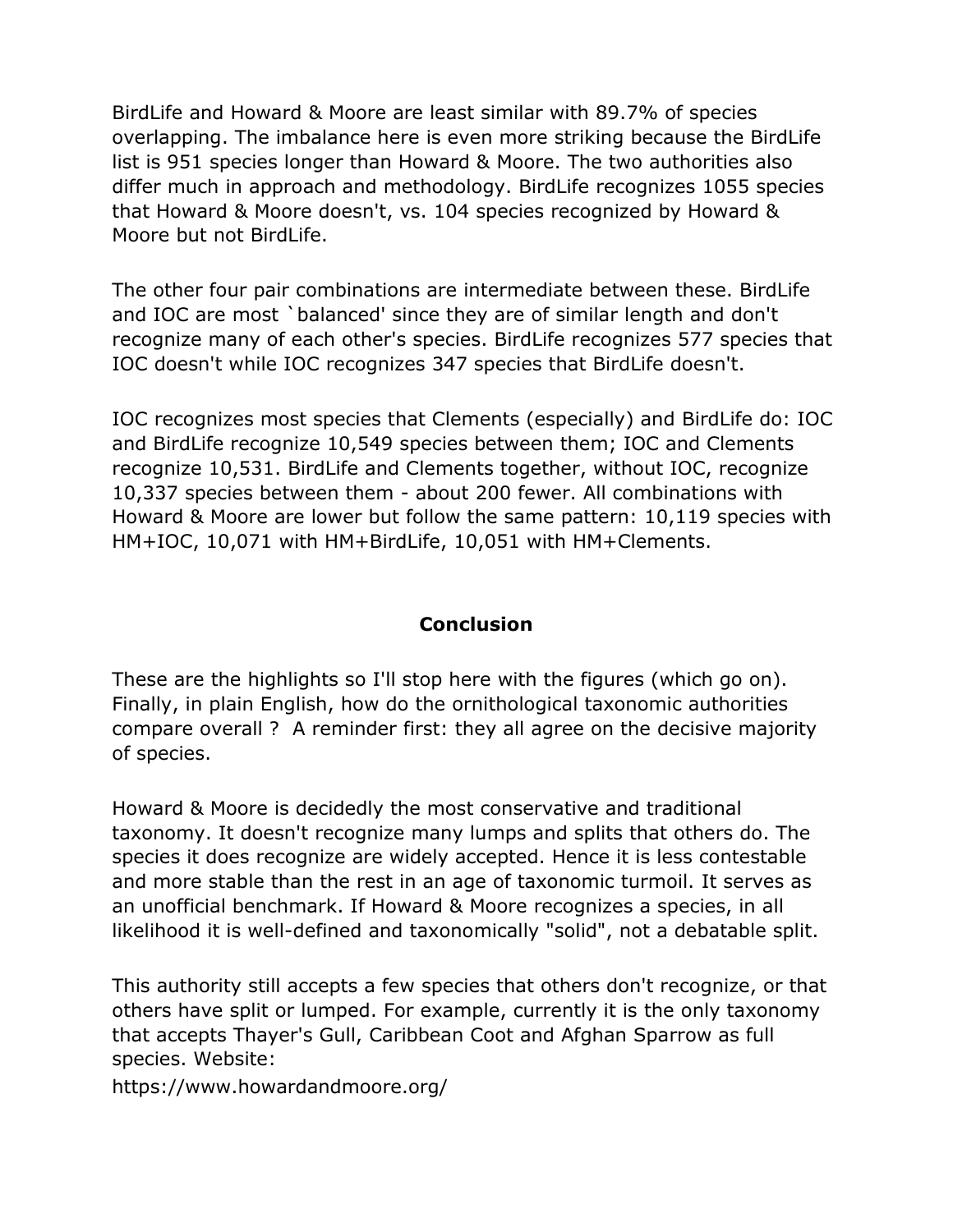BirdLife and Howard & Moore are least similar with 89.7% of species overlapping. The imbalance here is even more striking because the BirdLife list is 951 species longer than Howard & Moore. The two authorities also differ much in approach and methodology. BirdLife recognizes 1055 species that Howard & Moore doesn't, vs. 104 species recognized by Howard & Moore but not BirdLife.

The other four pair combinations are intermediate between these. BirdLife and IOC are most `balanced' since they are of similar length and don't recognize many of each other's species. BirdLife recognizes 577 species that IOC doesn't while IOC recognizes 347 species that BirdLife doesn't.

IOC recognizes most species that Clements (especially) and BirdLife do: IOC and BirdLife recognize 10,549 species between them; IOC and Clements recognize 10,531. BirdLife and Clements together, without IOC, recognize 10,337 species between them - about 200 fewer. All combinations with Howard & Moore are lower but follow the same pattern: 10,119 species with HM+IOC, 10,071 with HM+BirdLife, 10,051 with HM+Clements.

## **Conclusion**

These are the highlights so I'll stop here with the figures (which go on). Finally, in plain English, how do the ornithological taxonomic authorities compare overall ? A reminder first: they all agree on the decisive majority of species.

Howard & Moore is decidedly the most conservative and traditional taxonomy. It doesn't recognize many lumps and splits that others do. The species it does recognize are widely accepted. Hence it is less contestable and more stable than the rest in an age of taxonomic turmoil. It serves as an unofficial benchmark. If Howard & Moore recognizes a species, in all likelihood it is well-defined and taxonomically "solid", not a debatable split.

This authority still accepts a few species that others don't recognize, or that others have split or lumped. For example, currently it is the only taxonomy that accepts Thayer's Gull, Caribbean Coot and Afghan Sparrow as full species. Website:

https://www.howardandmoore.org/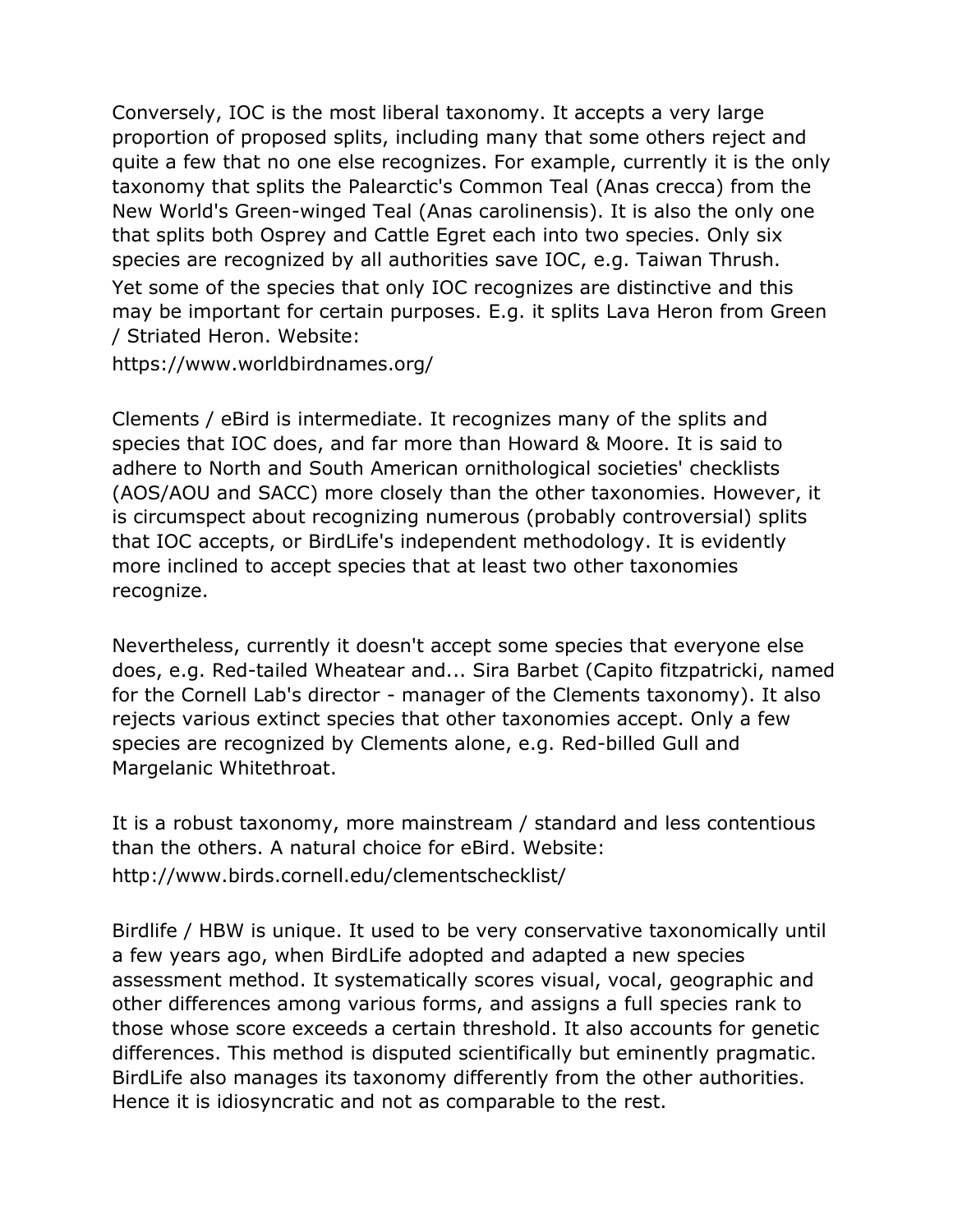Conversely, IOC is the most liberal taxonomy. It accepts a very large proportion of proposed splits, including many that some others reject and quite a few that no one else recognizes. For example, currently it is the only taxonomy that splits the Palearctic's Common Teal (Anas crecca) from the New World's Green-winged Teal (Anas carolinensis). It is also the only one that splits both Osprey and Cattle Egret each into two species. Only six species are recognized by all authorities save IOC, e.g. Taiwan Thrush. Yet some of the species that only IOC recognizes are distinctive and this may be important for certain purposes. E.g. it splits Lava Heron from Green / Striated Heron. Website:

https://www.worldbirdnames.org/

Clements / eBird is intermediate. It recognizes many of the splits and species that IOC does, and far more than Howard & Moore. It is said to adhere to North and South American ornithological societies' checklists (AOS/AOU and SACC) more closely than the other taxonomies. However, it is circumspect about recognizing numerous (probably controversial) splits that IOC accepts, or BirdLife's independent methodology. It is evidently more inclined to accept species that at least two other taxonomies recognize.

Nevertheless, currently it doesn't accept some species that everyone else does, e.g. Red-tailed Wheatear and... Sira Barbet (Capito fitzpatricki, named for the Cornell Lab's director - manager of the Clements taxonomy). It also rejects various extinct species that other taxonomies accept. Only a few species are recognized by Clements alone, e.g. Red-billed Gull and Margelanic Whitethroat.

It is a robust taxonomy, more mainstream / standard and less contentious than the others. A natural choice for eBird. Website: http://www.birds.cornell.edu/clementschecklist/

Birdlife / HBW is unique. It used to be very conservative taxonomically until a few years ago, when BirdLife adopted and adapted a new species assessment method. It systematically scores visual, vocal, geographic and other differences among various forms, and assigns a full species rank to those whose score exceeds a certain threshold. It also accounts for genetic differences. This method is disputed scientifically but eminently pragmatic. BirdLife also manages its taxonomy differently from the other authorities. Hence it is idiosyncratic and not as comparable to the rest.